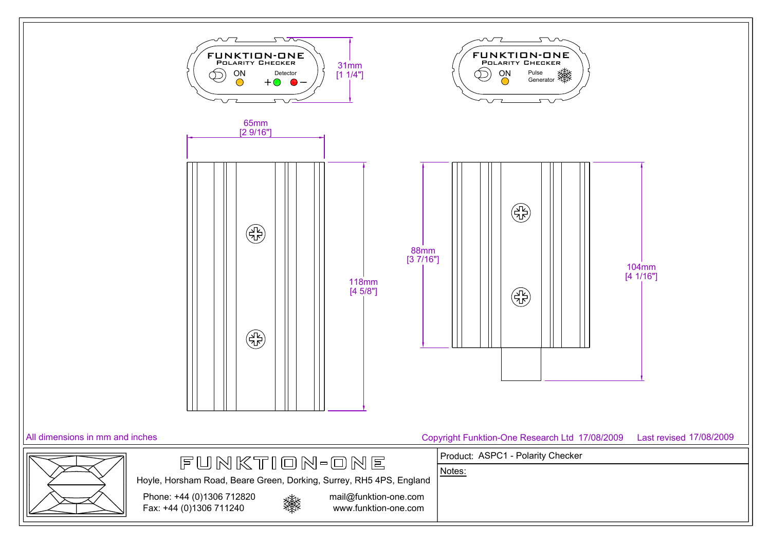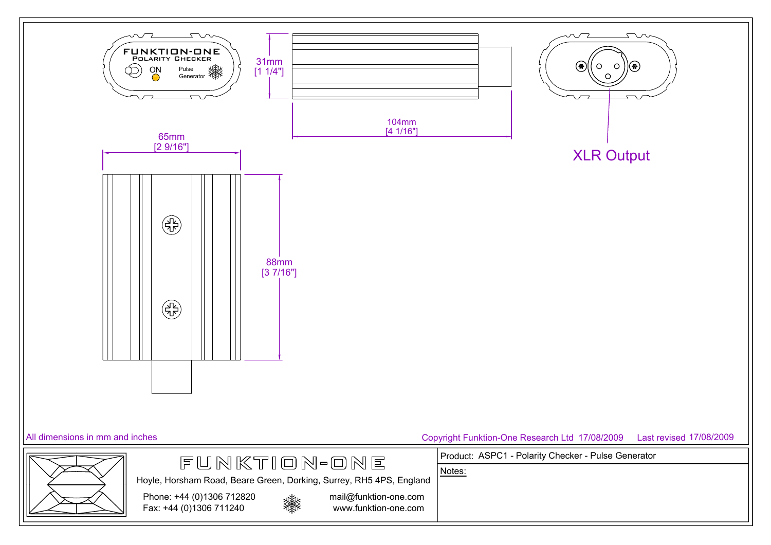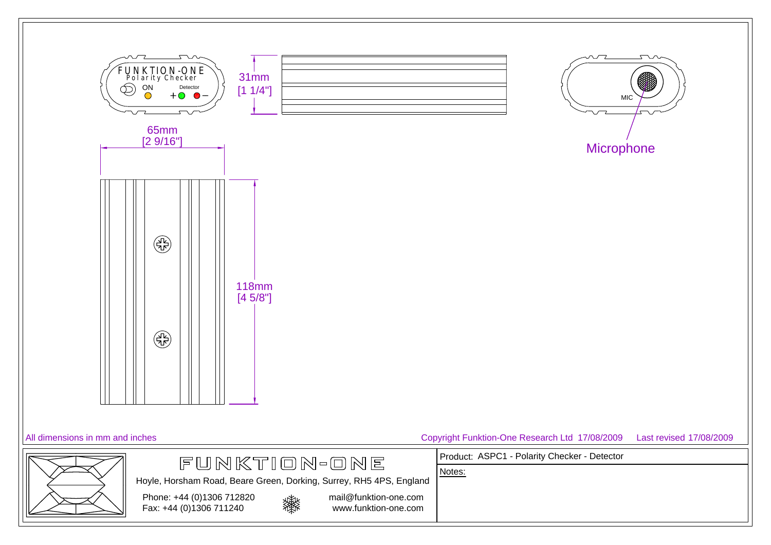